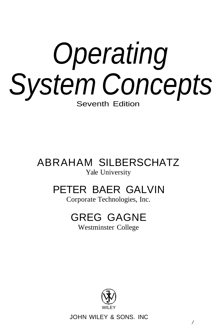# Operating System Concepts Seventh Edition

# ABRAHAM SILBERSCHATZ Yale University

# PETER BAER GALVIN

Corporate Technologies, Inc.

# GREG GAGNE

Westminster College



JOHN WILEY & SONS. INC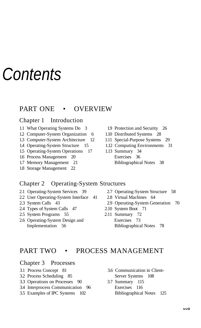# **Contents**

# PART ONE • OVERVIEW

#### Chapter 1 Introduction

- 1.1 What Operating Systems Do 3 1.9 Protection and Security 26
- 1.2 Computer-System Organization 6 1.10 Distributed Systems 28
- 
- 
- 1.5 Operating-System Operations 17 1.13 Summary 34
- 1.6 Process Management 20 Exercises 36
- 
- 1.8 Storage Management 22
- 
- 
- 1.3 Computer-System Architecture 12 1.11 Special-Purpose Systems 29
- 1.4 Operating-System Structure 15 1.12 Computing Environments 31
- 1.7 Memory Management 21 Bibliographical Notes 38

#### Chapter 2 Operating-System Structures

- 2.1 Operating-System Services 39 2.7 Operating-System Structure 58
- 2.2 User Operating-System Interface 41 2.8 Virtual Machines 64
- 
- 2.4 Types of System Calls 47 2.10 System Boot 71
- 2.5 System Programs 55 2.11 Summary 72
- 2.6 Operating-System Design and Exercises 73
- 
- 
- 2.3 System Calls 43 2.9 Operating-System Generation 70
	-
	- Implementation 56 Bibliographical Notes 78

# PART TWO • PROCESS MANAGEMENT

#### Chapter 3 Processes

- 
- 3.2 Process Scheduling 85 Server Systems 108
- 3.3 Operations on Processes 90 3.7 Summary 115
- 3.4 Interprocess Communication 96 Exercises 116
- 3.5 Examples of IPC Systems 102 Bibliographical Notes 125
- 3.1 Process Concept 81 3.6 Communication in Client-
	-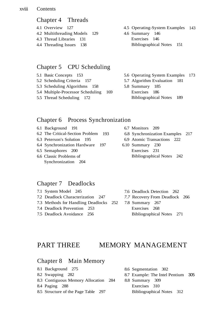#### xviii Contents

#### Chapter 4 Threads

4.1 Overview 127 4.2 Multithreading Models 129 4.3 Thread Libraries 131 4.4 Threading Issues 138

#### Chapter 5 CPU Scheduling

- 5.1 Basic Concepts 153
- 5.2 Scheduling Criteria 157
- 5.3 Scheduling Algorithms 158
- 5.4 Multiple-Processor Scheduling 169
- 5.5 Thread Scheduling 172

#### Chapter 6 Process Synchronization

- 6.1 Background 191 6.7 Monitors 209 6.2 The Critical-Section Problem 6.3 Peterson's Solution 195 6.4 Synchronization Hardware 197
- 6.5 Semaphores 200
- 6.6 Classic Problems of Synchronization 204

# Chapter 7 Deadlocks

7.1 System Model 245 7.2 Deadlock Characterization 247 7.3 Methods for Handling Deadlocks 7.4 Deadlock Prevention 253 7.5 Deadlock Avoidance 256 7.6 Deadlock Detection 262 *7.7* Recovery From Deadlock 266 252 7.8 Summary 267 Exercises 268

# PART THREE MEMORY MANAGEMENT

# Chapter 8 Main Memory

- 8.1 Background 275
- 8.2 Swapping 282
- 8.3 Contiguous Memory Allocation
- 8.4 Paging 288
- 8.5 Structure of the Page Table 297
- 8.6 Segmentation 302
- 8.7 Example: The Intel Pentium 305
- 8.8 Summary 309 Exercises 310
	- Bibliographical Notes 312
- 4.5 Operating-System Examples 143
- 4.6 Summary 146 Exercises 146 Bibliographical Notes 151
- 5.6 Operating System Examples 173
- 5.7 Algorithm Evaluation 181
- 5.8 Summary 185 Exercises 186
	- Bibliographical Notes 189
	-
- 193 6.8 Synchronization Examples 217
	- 6.9 Atomic Transactions 222
	- 6.10 Summary 230 Exercises 231 Bibliographical Notes 242
		- Bibliographical Notes 271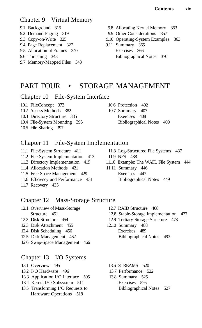# Chapter 9 Virtual Memory

- 
- 
- 
- 9.4 Page Replacement 327 9.11 Summary 365
- 9.5 Allocation of Frames 340 Exercises 366
- 
- 9.7 Memory-Mapped Files 348
- 9.1 Background 315 9.8 Allocating Kernel Memory 353
- 9.2 Demand Paging 319 9.9 Other Considerations 357
- 9.3 Copy-on-Write 325 9.10 Operating-System Examples 363
- 9.6 Thrashing 343 Bibliographical Notes 370

# PART FOUR • STORAGE MANAGEMENT

Chapter 10 File-System Interface

10.1 FileConcept 373 10.6 Protection 402

- 10.2 Access Methods 382 10.7 Summary 407
- 10.3 Directory Structure 385 Exercises 408
- 10.4 File-System Mounting 395 Bibliographical Notes 409
- 10.5 File Sharing 397

# Chapter 11 File-System Implementation

- 
- 11.2 File-System Implementation 413 11.9 NFS 438
- 
- 11.4 Allocation Methods 421 11.11 Summary 446
- 11.5 Free-Space Management 429 Exercises 447
- 11.6 Efficiency and Performance 431 Bibliographical Notes 449
- 11.7 Recovery 435
- 11.1 File-System Structure 411 11.8 Log-Structured File Systems 437
	-
- 11.3 Directory Implementation 419 11.10 Example: The WAFL File System 444
	-

# Chapter 12 Mass-Storage Structure

- 12.1 Overview of Mass-Storage 12.7 RAID Structure 468
- 
- 12.3 Disk Attachment 455 12.10 Summary 488
- 12.4 Disk Scheduling 456 Exercises 489
- 
- 12.6 Swap-Space Management 466

# Chapter 13 I/O Systems

- 
- 13.2 I/O Hardware 496 13.7 Performance 522
- 13.3 Application I/O Interface 505 13.8 Summary 525
- 13.4 Kernel I/O Subsystem 511 Exercises 526
- 13.5 Transforming I/O Requests to Bibliographical Notes 527 Hardware Operations 518
- 
- Structure 451 12.8 Stable-Storage Implementation 477
- 12.2 Disk Structure 454 12.9 Tertiary-Storage Structure 478
- 12.5 Disk Management 462 Bibliographical Notes 493
- 13.1 Overview 495 13.6 STREAMS 520
	-
	-
- 
-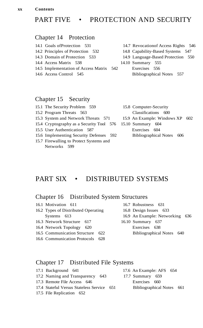**xx Contents**

# PART FIVE • PROTECTION AND SECURITY

#### Chapter 14 Protection

- 
- 
- 
- 
- 14.5 Implementation of Access Matrix 542 Exercises 556
- 
- 14.1 Goals ofProtection 531 14.7 Revocationof Access Rights 546
- 14.2 Principles of Protection 532 14.8 Capability-Based Systems 547
- 14.3 Domain of Protection 533 14.9 Language-Based Protection 550
- 14.4 Access Matrix 538 14.10 Summary 555
- 14.6 Access Control 545 Bibliographical Notes 557

#### Chapter 15 Security

| 15.1 The Security Problem 559                              | 15.8 Computer-Security          |  |
|------------------------------------------------------------|---------------------------------|--|
| 15.2 Program Threats 563                                   | Classifications 600             |  |
| 15.3 System and Network Threats 571                        | 15.9 An Example: Windows XP 602 |  |
| 15.4 Cryptography as a Security Tool 576 15.10 Summary 604 |                                 |  |
| 15.5 User Authentication 587                               | Exercises 604                   |  |
| 15.6 Implementing Security Defenses 592                    | Bibliographical Notes 606       |  |
| 15.7 Firewalling to Protect Systems and                    |                                 |  |
| Networks 599                                               |                                 |  |

# PART SIX • DISTRIBUTED SYSTEMS

#### Chapter 16 Distributed System Structures

- 16.1 Motivation 611 16.7 Robustness 631 16.2 Types of Distributed Operating 16.8 Design Issues 633 Systems 613 16.9 An Example: Networking 636 16.3 Network Structure 617 16.10 Summary 637 16.4 Network Topology 620 Exercises 638
- 16.5 Communication Structure 622 Bibliographical Notes 640
- 16.6 Communication Protocols 628
- 
- Chapter 17 Distributed File Systems
- 17.1 Background 641 17.6 An Example: AFS 654 17.2 Naming and Transparency 643 17.7 Summary 659 17.3 Remote File Access 646 Exercises 660 17.4 Stateful Versus Stateless Service 651 Bibliographical Notes 661 17.5 File Replication 652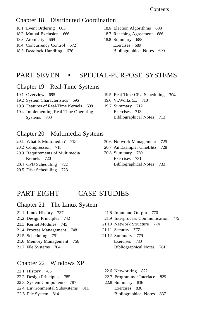Contents

#### Chapter 18 Distributed Coordination

- 18.1 Event Ordering 663
- 18.2 Mutual Exclusion 666
- 18.3 Atomicity 669
- 18.4 Concurrency Control 672
- 18.5 Deadlock Handling 676
- 18.6 Election Algorithms 683
- 18.7 Reaching Agreement 686
- 18.8 Summary 688 Exercises 689 Bibliographical Notes 690

# PART SEVEN • SPECIAL-PURPOSE SYSTEMS

#### Chapter 19 Real-Time Systems

- 19.1 Overview 695
- 19.2 System Characteristics 696
- 19.3 Features of Real-Time Kernels 698
- 19.4 Implementing Real-Time Operating Systems 700
- 19.5 Real-Time CPU Scheduling 704 19.6 VxWorks 5.x 710
- 19.7 Summary 712 Exercises 713 Bibliographical Notes 713

#### Chapter 20 Multimedia Systems

- 20.1 What Is Multimedia? 715
- 20.2 Compression 718
- 20.3 Requirements of Multimedia Kernels 720
- 20.4 CPU Scheduling 722
- 20.5 Disk Scheduling 723
- 20.6 Network Management 725
- 20.7 An Example: CineBlitz 728
- 20.8 Summary 730 Exercises 731 Bibliographical Notes 733

# PART EIGHT CASE STUDIES

#### Chapter 21 The Linux System

- 21.1 Linux History 737
- 21.2 Design Principles 742
- 21.3 Kernel Modules 745
- 21.4 Process Management 748
- 21.5 Scheduling 751
- 21.6 Memory Management 756
- 21.7 File Systems 764

#### Chapter 22 Windows XP

- 22.1 History 783
- 22.2 Design Principles 785
- 22.3 System Components 787
- 22.4 Environmental Subsystems 811
- 22.5 File System 814
- 21.8 Input and Output 770
- 21.9 Interprocess Communication 773
- 21.10 Network Structure 774
- 21.11 Security *777*
- 21.12 Summary 779 Exercises 780 Bibliographical Notes 781
	- 22.6 Networking 822
	- 22.7 Programmer Interface 829
	- 22.8 Summary 836 Exercises 836 Bibliographical Notes 837